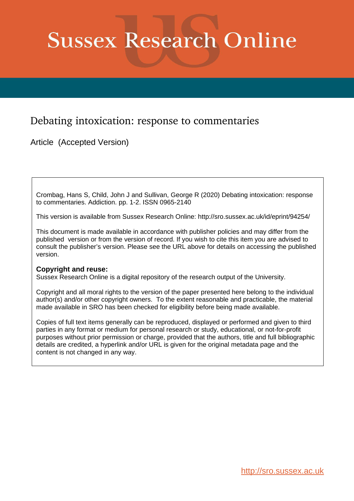# **Sussex Research Online**

# Debating intoxication: response to commentaries

Article (Accepted Version)

Crombag, Hans S, Child, John J and Sullivan, George R (2020) Debating intoxication: response to commentaries. Addiction. pp. 1-2. ISSN 0965-2140

This version is available from Sussex Research Online: http://sro.sussex.ac.uk/id/eprint/94254/

This document is made available in accordance with publisher policies and may differ from the published version or from the version of record. If you wish to cite this item you are advised to consult the publisher's version. Please see the URL above for details on accessing the published version.

## **Copyright and reuse:**

Sussex Research Online is a digital repository of the research output of the University.

Copyright and all moral rights to the version of the paper presented here belong to the individual author(s) and/or other copyright owners. To the extent reasonable and practicable, the material made available in SRO has been checked for eligibility before being made available.

Copies of full text items generally can be reproduced, displayed or performed and given to third parties in any format or medium for personal research or study, educational, or not-for-profit purposes without prior permission or charge, provided that the authors, title and full bibliographic details are credited, a hyperlink and/or URL is given for the original metadata page and the content is not changed in any way.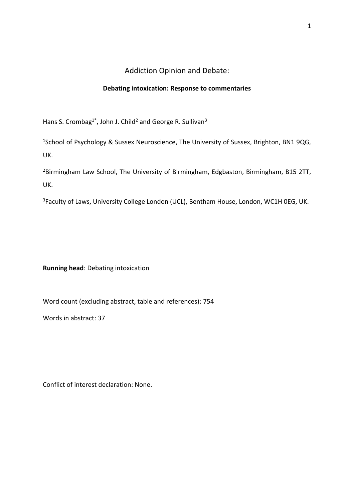# Addiction Opinion and Debate:

### **Debating intoxication: Response to commentaries**

Hans S. Crombag<sup>1\*</sup>, John J. Child<sup>2</sup> and George R. Sullivan<sup>3</sup>

<sup>1</sup>School of Psychology & Sussex Neuroscience, The University of Sussex, Brighton, BN1 9QG, UK.

<sup>2</sup>Birmingham Law School, The University of Birmingham, Edgbaston, Birmingham, B15 2TT, UK.

<sup>3</sup>Faculty of Laws, University College London (UCL), Bentham House, London, WC1H 0EG, UK.

**Running head**: Debating intoxication

Word count (excluding abstract, table and references): 754

Words in abstract: 37

Conflict of interest declaration: None.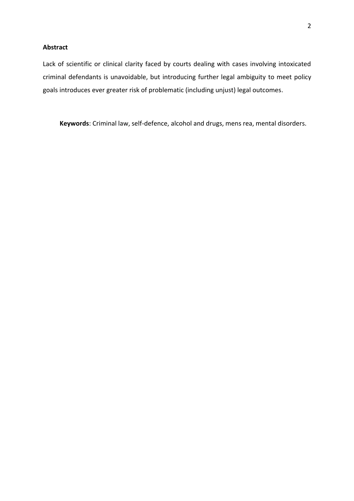#### **Abstract**

Lack of scientific or clinical clarity faced by courts dealing with cases involving intoxicated criminal defendants is unavoidable, but introducing further legal ambiguity to meet policy goals introduces ever greater risk of problematic (including unjust) legal outcomes.

**Keywords**: Criminal law, self-defence, alcohol and drugs, mens rea, mental disorders.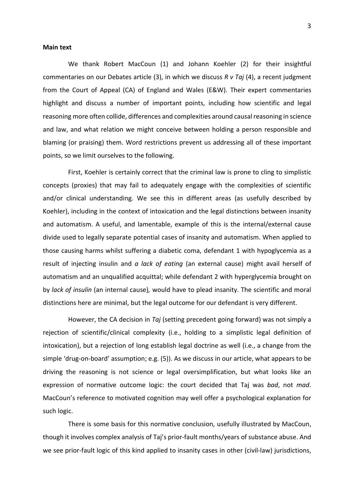#### **Main text**

We thank Robert MacCoun (1) and Johann Koehler (2) for their insightful commentaries on our Debates article (3), in which we discuss *R v Taj* (4), a recent judgment from the Court of Appeal (CA) of England and Wales (E&W). Their expert commentaries highlight and discuss a number of important points, including how scientific and legal reasoning more often collide, differences and complexities around causal reasoning in science and law, and what relation we might conceive between holding a person responsible and blaming (or praising) them. Word restrictions prevent us addressing all of these important points, so we limit ourselves to the following.

First, Koehler is certainly correct that the criminal law is prone to cling to simplistic concepts (proxies) that may fail to adequately engage with the complexities of scientific and/or clinical understanding. We see this in different areas (as usefully described by Koehler), including in the context of intoxication and the legal distinctions between insanity and automatism. A useful, and lamentable, example of this is the internal/external cause divide used to legally separate potential cases of insanity and automatism. When applied to those causing harms whilst suffering a diabetic coma, defendant 1 with hypoglycemia as a result of injecting insulin and *a lack of eating* (an external cause) might avail herself of automatism and an unqualified acquittal; while defendant 2 with hyperglycemia brought on by *lack of insulin* (an internal cause)*,* would have to plead insanity. The scientific and moral distinctions here are minimal, but the legal outcome for our defendant is very different.

However, the CA decision in *Taj* (setting precedent going forward) was not simply a rejection of scientific/clinical complexity (i.e., holding to a simplistic legal definition of intoxication), but a rejection of long establish legal doctrine as well (i.e., a change from the simple 'drug-on-board' assumption; e.g. (5)). As we discuss in our article, what appears to be driving the reasoning is not science or legal oversimplification, but what looks like an expression of normative outcome logic: the court decided that Taj was *bad*, not *mad*. MacCoun's reference to motivated cognition may well offer a psychological explanation for such logic.

There is some basis for this normative conclusion, usefully illustrated by MacCoun, though it involves complex analysis of Taj's prior-fault months/years of substance abuse. And we see prior-fault logic of this kind applied to insanity cases in other (civil-law) jurisdictions,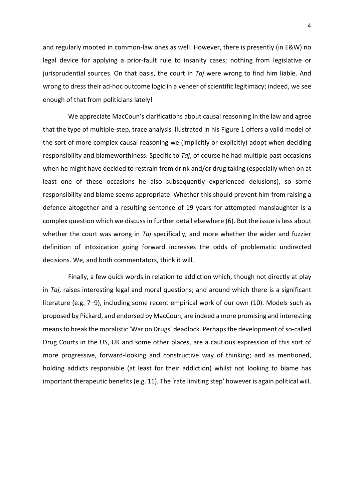and regularly mooted in common-law ones as well. However, there is presently (in E&W) no legal device for applying a prior-fault rule to insanity cases; nothing from legislative or jurisprudential sources. On that basis, the court in *Taj* were wrong to find him liable. And wrong to dress their ad-hoc outcome logic in a veneer of scientific legitimacy; indeed, we see enough of that from politicians lately!

We appreciate MacCoun's clarifications about causal reasoning in the law and agree that the type of multiple-step, trace analysis illustrated in his Figure 1 offers a valid model of the sort of more complex causal reasoning we (implicitly or explicitly) adopt when deciding responsibility and blameworthiness. Specific to *Taj*, of course he had multiple past occasions when he might have decided to restrain from drink and/or drug taking (especially when on at least one of these occasions he also subsequently experienced delusions), so some responsibility and blame seems appropriate. Whether this should prevent him from raising a defence altogether and a resulting sentence of 19 years for attempted manslaughter is a complex question which we discuss in further detail elsewhere (6). But the issue is less about whether the court was wrong in *Taj* specifically, and more whether the wider and fuzzier definition of intoxication going forward increases the odds of problematic undirected decisions. We, and both commentators, think it will.

Finally, a few quick words in relation to addiction which, though not directly at play in *Taj*, raises interesting legal and moral questions; and around which there is a significant literature (e.g. 7–9), including some recent empirical work of our own (10). Models such as proposed by Pickard, and endorsed by MacCoun, are indeed a more promising and interesting means to break the moralistic 'War on Drugs' deadlock. Perhapsthe development of so-called Drug Courts in the US, UK and some other places, are a cautious expression of this sort of more progressive, forward-looking and constructive way of thinking; and as mentioned, holding addicts responsible (at least for their addiction) whilst not looking to blame has important therapeutic benefits (e.g. 11). The 'rate limiting step' however is again political will.